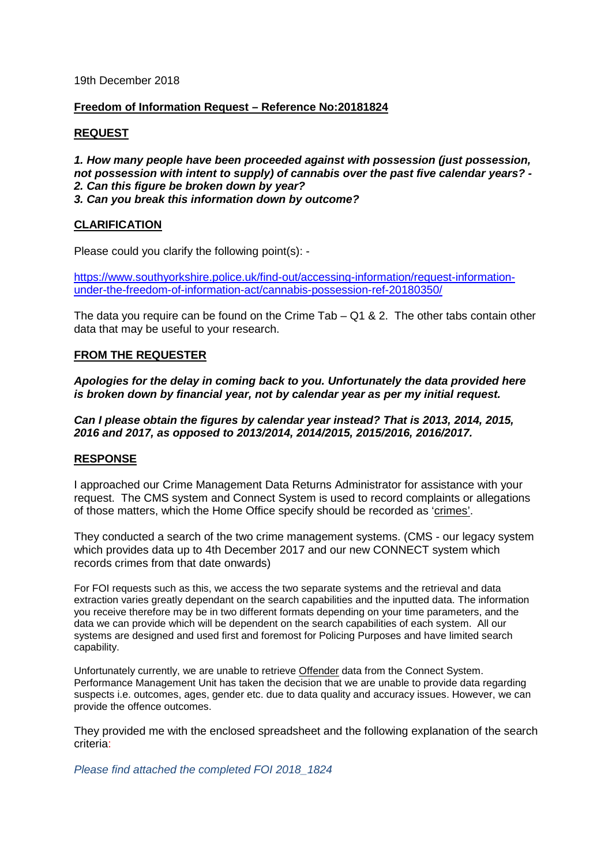19th December 2018

# **Freedom of Information Request – Reference No:20181824**

# **REQUEST**

*1. How many people have been proceeded against with possession (just possession, not possession with intent to supply) of cannabis over the past five calendar years? - 2. Can this figure be broken down by year? 3. Can you break this information down by outcome?*

# **CLARIFICATION**

Please could you clarify the following point(s): -

[https://www.southyorkshire.police.uk/find-out/accessing-information/request-information](https://www.southyorkshire.police.uk/find-out/accessing-information/request-information-under-the-freedom-of-information-act/cannabis-possession-ref-20180350/)[under-the-freedom-of-information-act/cannabis-possession-ref-20180350/](https://www.southyorkshire.police.uk/find-out/accessing-information/request-information-under-the-freedom-of-information-act/cannabis-possession-ref-20180350/)

The data you require can be found on the Crime Tab  $-$  Q1 & 2. The other tabs contain other data that may be useful to your research.

# **FROM THE REQUESTER**

*Apologies for the delay in coming back to you. Unfortunately the data provided here is broken down by financial year, not by calendar year as per my initial request.*

*Can I please obtain the figures by calendar year instead? That is 2013, 2014, 2015, 2016 and 2017, as opposed to 2013/2014, 2014/2015, 2015/2016, 2016/2017.*

### **RESPONSE**

I approached our Crime Management Data Returns Administrator for assistance with your request. The CMS system and Connect System is used to record complaints or allegations of those matters, which the Home Office specify should be recorded as 'crimes'.

They conducted a search of the two crime management systems. (CMS - our legacy system which provides data up to 4th December 2017 and our new CONNECT system which records crimes from that date onwards)

For FOI requests such as this, we access the two separate systems and the retrieval and data extraction varies greatly dependant on the search capabilities and the inputted data. The information you receive therefore may be in two different formats depending on your time parameters, and the data we can provide which will be dependent on the search capabilities of each system. All our systems are designed and used first and foremost for Policing Purposes and have limited search capability.

Unfortunately currently, we are unable to retrieve Offender data from the Connect System. Performance Management Unit has taken the decision that we are unable to provide data regarding suspects i.e. outcomes, ages, gender etc. due to data quality and accuracy issues. However, we can provide the offence outcomes.

They provided me with the enclosed spreadsheet and the following explanation of the search criteria:

*Please find attached the completed FOI 2018\_1824*